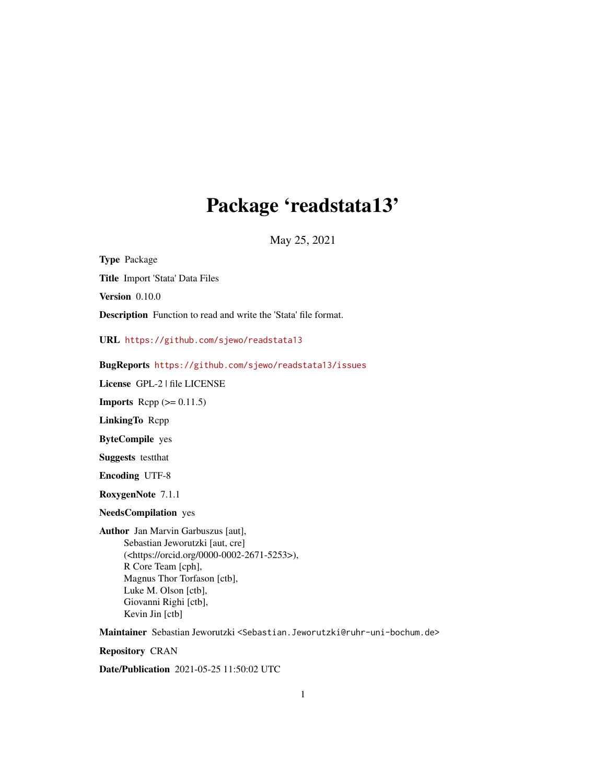# Package 'readstata13'

May 25, 2021

<span id="page-0-0"></span>Type Package Title Import 'Stata' Data Files Version 0.10.0 Description Function to read and write the 'Stata' file format.

URL <https://github.com/sjewo/readstata13>

BugReports <https://github.com/sjewo/readstata13/issues>

License GPL-2 | file LICENSE

**Imports** Rcpp  $(>= 0.11.5)$ 

LinkingTo Rcpp

ByteCompile yes

Suggests testthat

Encoding UTF-8

RoxygenNote 7.1.1

NeedsCompilation yes

Author Jan Marvin Garbuszus [aut], Sebastian Jeworutzki [aut, cre] (<https://orcid.org/0000-0002-2671-5253>), R Core Team [cph], Magnus Thor Torfason [ctb], Luke M. Olson [ctb], Giovanni Righi [ctb], Kevin Jin [ctb]

Maintainer Sebastian Jeworutzki <Sebastian.Jeworutzki@ruhr-uni-bochum.de>

Repository CRAN

Date/Publication 2021-05-25 11:50:02 UTC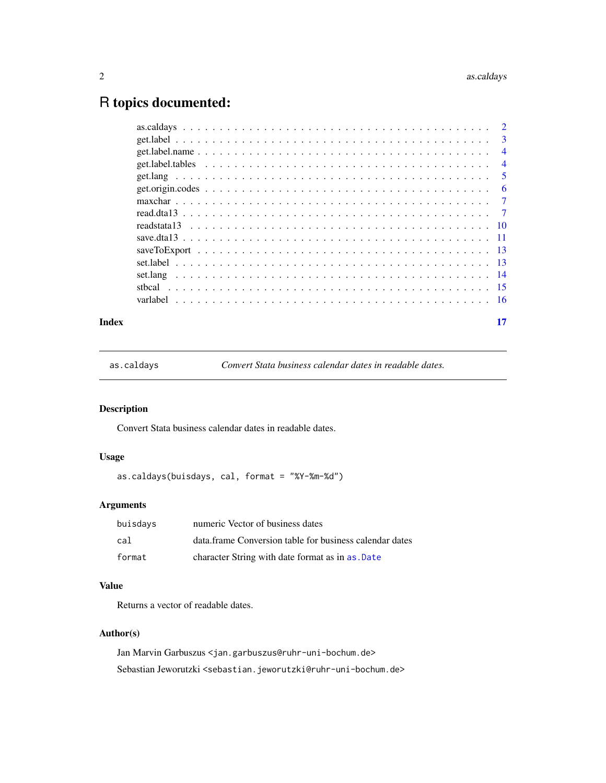# <span id="page-1-0"></span>R topics documented:

#### **Index** [17](#page-16-0)

as.caldays *Convert Stata business calendar dates in readable dates.*

# Description

Convert Stata business calendar dates in readable dates.

# Usage

as.caldays(buisdays, cal, format = "%Y-%m-%d")

# Arguments

| buisdays | numeric Vector of business dates                        |
|----------|---------------------------------------------------------|
| cal      | data.frame Conversion table for business calendar dates |
| format   | character String with date format as in as .Date        |

# Value

Returns a vector of readable dates.

# Author(s)

Jan Marvin Garbuszus <jan.garbuszus@ruhr-uni-bochum.de> Sebastian Jeworutzki <sebastian.jeworutzki@ruhr-uni-bochum.de>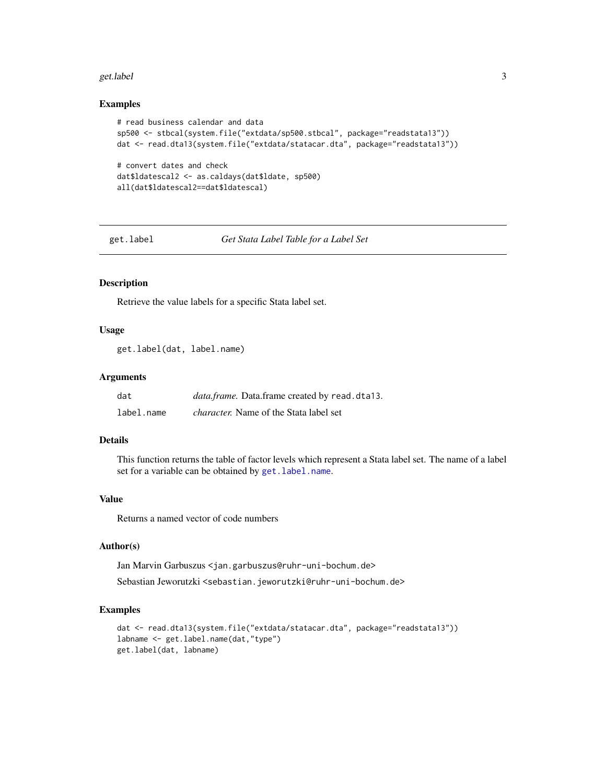#### <span id="page-2-0"></span>get.label 3

#### Examples

```
# read business calendar and data
sp500 <- stbcal(system.file("extdata/sp500.stbcal", package="readstata13"))
dat <- read.dta13(system.file("extdata/statacar.dta", package="readstata13"))
# convert dates and check
dat$ldatescal2 <- as.caldays(dat$ldate, sp500)
all(dat$ldatescal2==dat$ldatescal)
```
<span id="page-2-1"></span>get.label *Get Stata Label Table for a Label Set*

# Description

Retrieve the value labels for a specific Stata label set.

#### Usage

get.label(dat, label.name)

#### Arguments

| dat        | data.frame. Data.frame created by read.dta13. |
|------------|-----------------------------------------------|
| label.name | <i>character.</i> Name of the Stata label set |

# Details

This function returns the table of factor levels which represent a Stata label set. The name of a label set for a variable can be obtained by get. label.name.

# Value

Returns a named vector of code numbers

#### Author(s)

Jan Marvin Garbuszus <jan.garbuszus@ruhr-uni-bochum.de>

Sebastian Jeworutzki <sebastian.jeworutzki@ruhr-uni-bochum.de>

```
dat <- read.dta13(system.file("extdata/statacar.dta", package="readstata13"))
labname <- get.label.name(dat,"type")
get.label(dat, labname)
```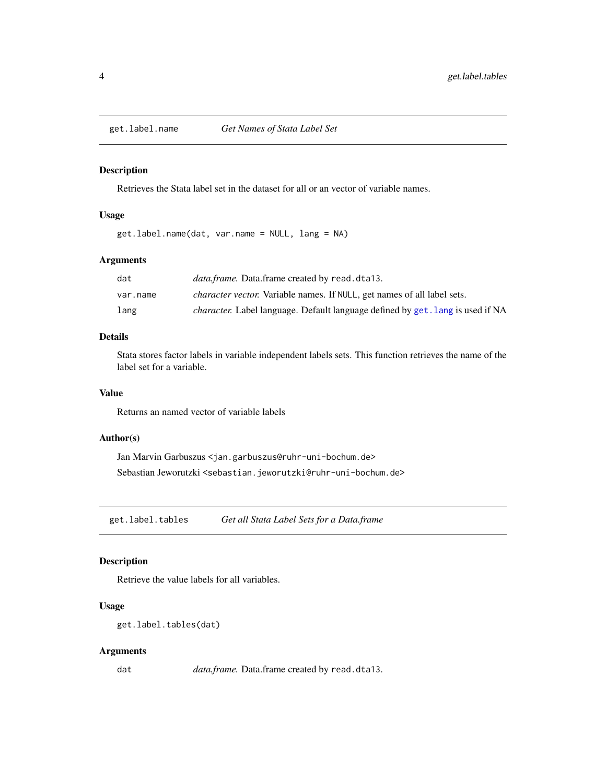<span id="page-3-1"></span><span id="page-3-0"></span>

Retrieves the Stata label set in the dataset for all or an vector of variable names.

#### Usage

get.label.name(dat, var.name = NULL, lang = NA)

# Arguments

| dat      | data.frame. Data.frame created by read.dta13.                                         |
|----------|---------------------------------------------------------------------------------------|
| var.name | <i>character vector.</i> Variable names. If NULL, get names of all label sets.        |
| lang     | <i>character.</i> Label language. Default language defined by get. lang is used if NA |

# Details

Stata stores factor labels in variable independent labels sets. This function retrieves the name of the label set for a variable.

#### Value

Returns an named vector of variable labels

#### Author(s)

Jan Marvin Garbuszus <jan.garbuszus@ruhr-uni-bochum.de> Sebastian Jeworutzki <sebastian.jeworutzki@ruhr-uni-bochum.de>

get.label.tables *Get all Stata Label Sets for a Data.frame*

# Description

Retrieve the value labels for all variables.

#### Usage

```
get.label.tables(dat)
```
#### Arguments

dat *data.frame.* Data.frame created by read.dta13.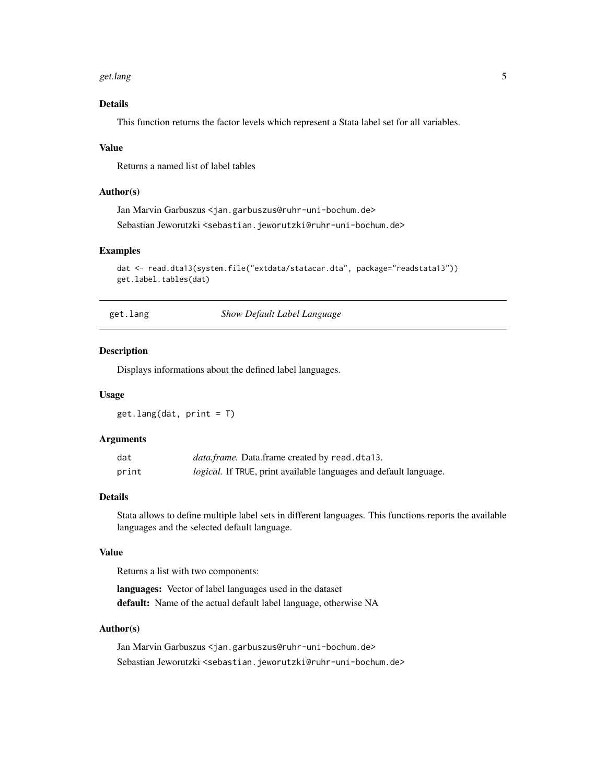#### <span id="page-4-0"></span>get.lang 5

# Details

This function returns the factor levels which represent a Stata label set for all variables.

#### Value

Returns a named list of label tables

# Author(s)

Jan Marvin Garbuszus <jan.garbuszus@ruhr-uni-bochum.de> Sebastian Jeworutzki <sebastian.jeworutzki@ruhr-uni-bochum.de>

#### Examples

```
dat <- read.dta13(system.file("extdata/statacar.dta", package="readstata13"))
get.label.tables(dat)
```
<span id="page-4-1"></span>get.lang *Show Default Label Language*

#### Description

Displays informations about the defined label languages.

#### Usage

get.lang(dat, print = T)

#### **Arguments**

| dat   | <i>data.frame.</i> Data.frame created by read.dta13.              |
|-------|-------------------------------------------------------------------|
| print | logical. If TRUE, print available languages and default language. |

#### Details

Stata allows to define multiple label sets in different languages. This functions reports the available languages and the selected default language.

#### Value

Returns a list with two components:

languages: Vector of label languages used in the dataset default: Name of the actual default label language, otherwise NA

#### Author(s)

Jan Marvin Garbuszus <jan.garbuszus@ruhr-uni-bochum.de> Sebastian Jeworutzki <sebastian.jeworutzki@ruhr-uni-bochum.de>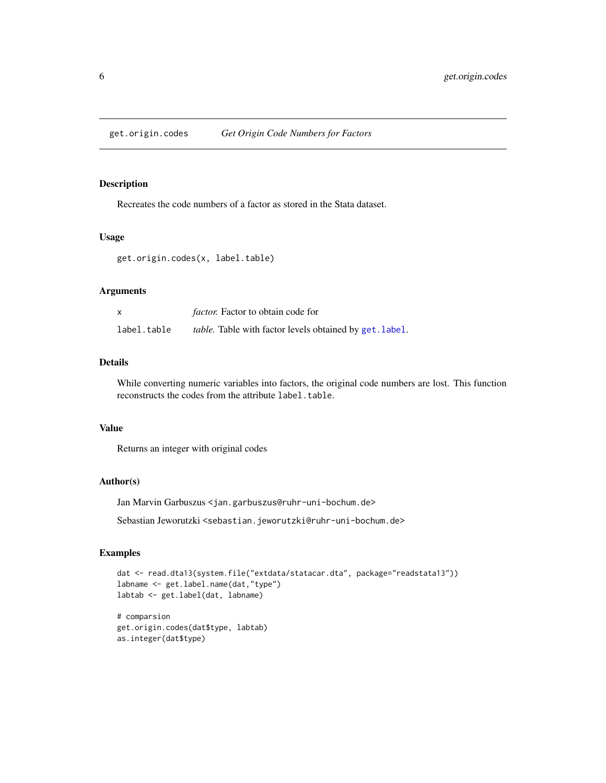<span id="page-5-0"></span>

Recreates the code numbers of a factor as stored in the Stata dataset.

#### Usage

```
get.origin.codes(x, label.table)
```
# Arguments

|             | <i>factor.</i> Factor to obtain code for                |
|-------------|---------------------------------------------------------|
| label.table | table. Table with factor levels obtained by get. label. |

# Details

While converting numeric variables into factors, the original code numbers are lost. This function reconstructs the codes from the attribute label.table.

#### Value

Returns an integer with original codes

#### Author(s)

Jan Marvin Garbuszus <jan.garbuszus@ruhr-uni-bochum.de>

Sebastian Jeworutzki <sebastian.jeworutzki@ruhr-uni-bochum.de>

#### Examples

```
dat <- read.dta13(system.file("extdata/statacar.dta", package="readstata13"))
labname <- get.label.name(dat,"type")
labtab <- get.label(dat, labname)
```
# comparsion get.origin.codes(dat\$type, labtab) as.integer(dat\$type)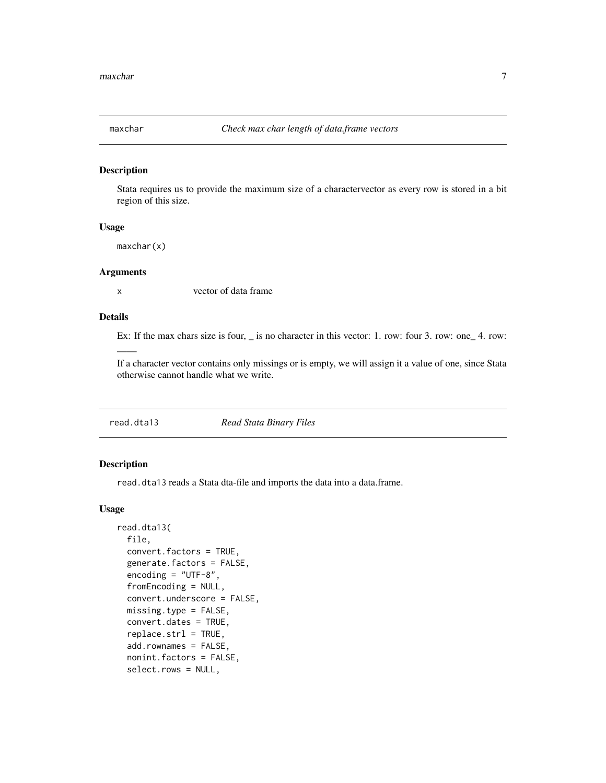<span id="page-6-0"></span>

Stata requires us to provide the maximum size of a charactervector as every row is stored in a bit region of this size.

# Usage

maxchar(x)

# Arguments

 $\overline{\phantom{a}}$ 

x vector of data frame

# Details

Ex: If the max chars size is four,  $\angle$  is no character in this vector: 1. row: four 3. row: one  $\angle$  4. row:

If a character vector contains only missings or is empty, we will assign it a value of one, since Stata otherwise cannot handle what we write.

read.dta13 *Read Stata Binary Files*

#### Description

read.dta13 reads a Stata dta-file and imports the data into a data.frame.

#### Usage

```
read.dta13(
  file,
  convert.factors = TRUE,
  generate.factors = FALSE,
  encoding = "UTF-8",
  fromEncoding = NULL,
  convert.underscore = FALSE,
 missing.type = FALSE,
  convert.dates = TRUE,
  replace.strl = TRUE,
  add.rownames = FALSE,
  nonint.factors = FALSE,
  select.rows = NULL,
```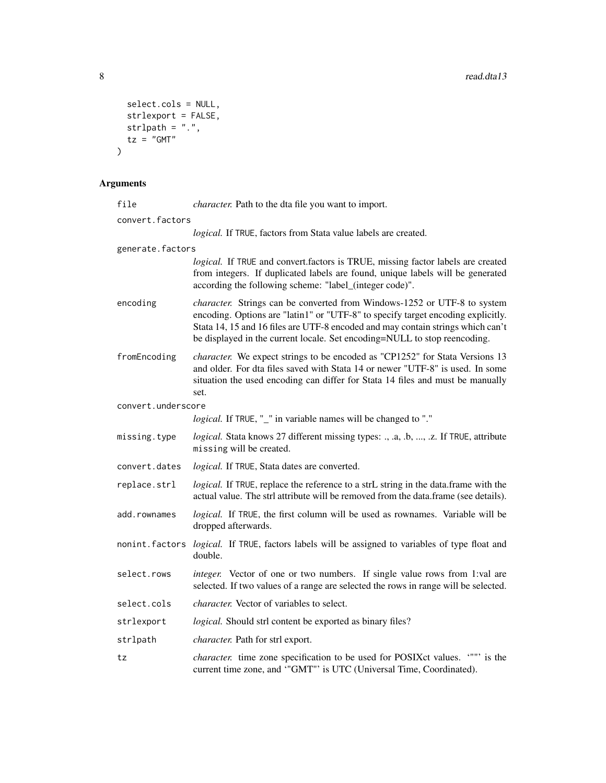```
select.cols = NULL,
 strlexport = FALSE,
 strlpath = ".".tz = "GMT"\mathcal{L}
```
# Arguments

| file               | character. Path to the dta file you want to import.                                                                                                                                                                                                                                                                                 |  |  |  |  |
|--------------------|-------------------------------------------------------------------------------------------------------------------------------------------------------------------------------------------------------------------------------------------------------------------------------------------------------------------------------------|--|--|--|--|
| convert.factors    |                                                                                                                                                                                                                                                                                                                                     |  |  |  |  |
|                    | logical. If TRUE, factors from Stata value labels are created.                                                                                                                                                                                                                                                                      |  |  |  |  |
| generate.factors   |                                                                                                                                                                                                                                                                                                                                     |  |  |  |  |
|                    | logical. If TRUE and convert factors is TRUE, missing factor labels are created<br>from integers. If duplicated labels are found, unique labels will be generated<br>according the following scheme: "label_(integer code)".                                                                                                        |  |  |  |  |
| encoding           | <i>character.</i> Strings can be converted from Windows-1252 or UTF-8 to system<br>encoding. Options are "latin1" or "UTF-8" to specify target encoding explicitly.<br>Stata 14, 15 and 16 files are UTF-8 encoded and may contain strings which can't<br>be displayed in the current locale. Set encoding=NULL to stop reencoding. |  |  |  |  |
| fromEncoding       | character. We expect strings to be encoded as "CP1252" for Stata Versions 13<br>and older. For dta files saved with Stata 14 or newer "UTF-8" is used. In some<br>situation the used encoding can differ for Stata 14 files and must be manually<br>set.                                                                            |  |  |  |  |
| convert.underscore |                                                                                                                                                                                                                                                                                                                                     |  |  |  |  |
|                    | logical. If TRUE, "_" in variable names will be changed to "."                                                                                                                                                                                                                                                                      |  |  |  |  |
| missing.type       | logical. Stata knows 27 different missing types: ., .a, .b, , .z. If TRUE, attribute<br>missing will be created.                                                                                                                                                                                                                    |  |  |  |  |
| convert.dates      | logical. If TRUE, Stata dates are converted.                                                                                                                                                                                                                                                                                        |  |  |  |  |
| replace.strl       | logical. If TRUE, replace the reference to a strL string in the data.frame with the<br>actual value. The strl attribute will be removed from the data.frame (see details).                                                                                                                                                          |  |  |  |  |
| add.rownames       | logical. If TRUE, the first column will be used as rownames. Variable will be<br>dropped afterwards.                                                                                                                                                                                                                                |  |  |  |  |
| nonint.factors     | logical. If TRUE, factors labels will be assigned to variables of type float and<br>double.                                                                                                                                                                                                                                         |  |  |  |  |
| select.rows        | integer. Vector of one or two numbers. If single value rows from 1:val are<br>selected. If two values of a range are selected the rows in range will be selected.                                                                                                                                                                   |  |  |  |  |
| select.cols        | <i>character.</i> Vector of variables to select.                                                                                                                                                                                                                                                                                    |  |  |  |  |
| strlexport         | <i>logical.</i> Should strl content be exported as binary files?                                                                                                                                                                                                                                                                    |  |  |  |  |
| strlpath           | <i>character</i> . Path for strl export.                                                                                                                                                                                                                                                                                            |  |  |  |  |
| tz                 | <i>character.</i> time zone specification to be used for POSIXct values. """ is the<br>current time zone, and "GMT"' is UTC (Universal Time, Coordinated).                                                                                                                                                                          |  |  |  |  |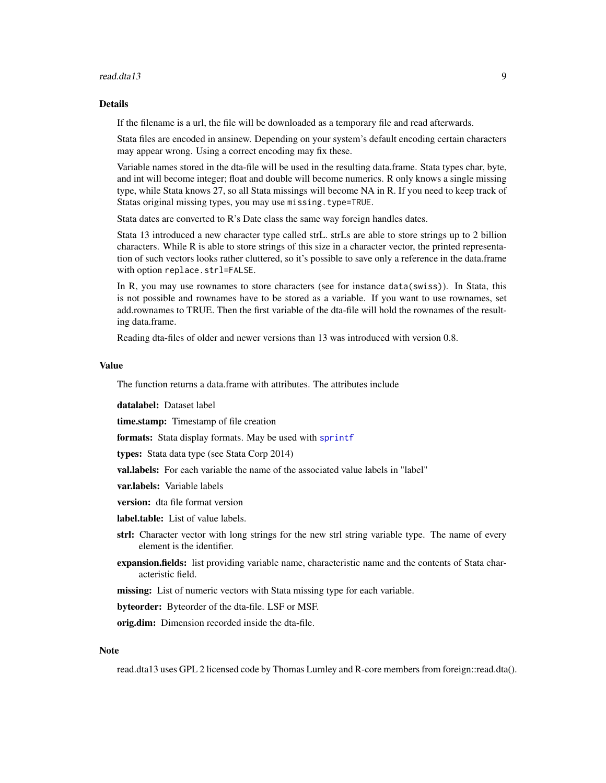#### <span id="page-8-0"></span>read.dta13 99 Personalistic state of the contract of the contract of the contract of the contract of the contract of the contract of the contract of the contract of the contract of the contract of the contract of the contr

#### Details

If the filename is a url, the file will be downloaded as a temporary file and read afterwards.

Stata files are encoded in ansinew. Depending on your system's default encoding certain characters may appear wrong. Using a correct encoding may fix these.

Variable names stored in the dta-file will be used in the resulting data.frame. Stata types char, byte, and int will become integer; float and double will become numerics. R only knows a single missing type, while Stata knows 27, so all Stata missings will become NA in R. If you need to keep track of Statas original missing types, you may use missing.type=TRUE.

Stata dates are converted to R's Date class the same way foreign handles dates.

Stata 13 introduced a new character type called strL. strLs are able to store strings up to 2 billion characters. While R is able to store strings of this size in a character vector, the printed representation of such vectors looks rather cluttered, so it's possible to save only a reference in the data.frame with option replace.strl=FALSE.

In R, you may use rownames to store characters (see for instance data(swiss)). In Stata, this is not possible and rownames have to be stored as a variable. If you want to use rownames, set add.rownames to TRUE. Then the first variable of the dta-file will hold the rownames of the resulting data.frame.

Reading dta-files of older and newer versions than 13 was introduced with version 0.8.

#### Value

The function returns a data.frame with attributes. The attributes include

datalabel: Dataset label

time.stamp: Timestamp of file creation

formats: Stata display formats. May be used with [sprintf](#page-0-0)

types: Stata data type (see Stata Corp 2014)

val.labels: For each variable the name of the associated value labels in "label"

var.labels: Variable labels

version: dta file format version

label.table: List of value labels.

- strl: Character vector with long strings for the new strl string variable type. The name of every element is the identifier.
- expansion.fields: list providing variable name, characteristic name and the contents of Stata characteristic field.

missing: List of numeric vectors with Stata missing type for each variable.

byteorder: Byteorder of the dta-file. LSF or MSF.

orig.dim: Dimension recorded inside the dta-file.

#### Note

read.dta13 uses GPL 2 licensed code by Thomas Lumley and R-core members from foreign::read.dta().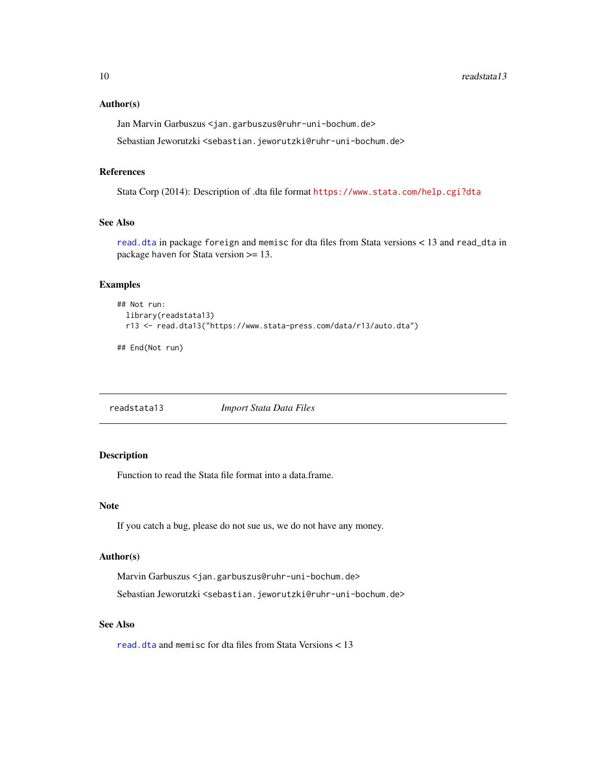#### <span id="page-9-0"></span>Author(s)

Jan Marvin Garbuszus <jan.garbuszus@ruhr-uni-bochum.de>

Sebastian Jeworutzki <sebastian.jeworutzki@ruhr-uni-bochum.de>

#### References

Stata Corp (2014): Description of .dta file format <https://www.stata.com/help.cgi?dta>

# See Also

[read.dta](#page-0-0) in package foreign and memisc for dta files from Stata versions < 13 and read\_dta in package haven for Stata version >= 13.

# Examples

```
## Not run:
  library(readstata13)
  r13 <- read.dta13("https://www.stata-press.com/data/r13/auto.dta")
```
## End(Not run)

readstata13 *Import Stata Data Files*

# Description

Function to read the Stata file format into a data.frame.

#### Note

If you catch a bug, please do not sue us, we do not have any money.

#### Author(s)

Marvin Garbuszus <jan.garbuszus@ruhr-uni-bochum.de> Sebastian Jeworutzki <sebastian.jeworutzki@ruhr-uni-bochum.de>

# See Also

[read.dta](#page-0-0) and memisc for dta files from Stata Versions < 13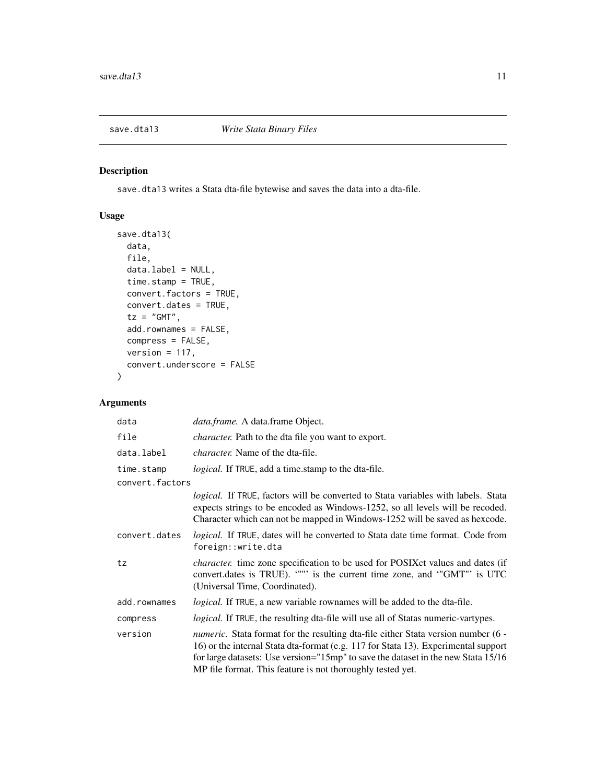<span id="page-10-0"></span>

save.dta13 writes a Stata dta-file bytewise and saves the data into a dta-file.

# Usage

```
save.dta13(
 data,
  file,
 data.label = NULL,
  time.stamp = TRUE,
  convert.factors = TRUE,
  convert.dates = TRUE,
  tz = "GMT",add.rownames = FALSE,
  compress = FALSE,
  version = 117,
  convert.underscore = FALSE
)
```
# Arguments

| data            | <i>data.frame.</i> A data.frame Object.                                                                                                                                                                                                                                                                                           |
|-----------------|-----------------------------------------------------------------------------------------------------------------------------------------------------------------------------------------------------------------------------------------------------------------------------------------------------------------------------------|
| file            | <i>character.</i> Path to the dta file you want to export.                                                                                                                                                                                                                                                                        |
| data.label      | <i>character.</i> Name of the dta-file.                                                                                                                                                                                                                                                                                           |
| time.stamp      | logical. If TRUE, add a time.stamp to the dta-file.                                                                                                                                                                                                                                                                               |
| convert.factors |                                                                                                                                                                                                                                                                                                                                   |
|                 | <i>logical.</i> If TRUE, factors will be converted to Stata variables with labels. Stata<br>expects strings to be encoded as Windows-1252, so all levels will be recoded.<br>Character which can not be mapped in Windows-1252 will be saved as hexcode.                                                                          |
| convert.dates   | logical. If TRUE, dates will be converted to Stata date time format. Code from<br>foreign::write.dta                                                                                                                                                                                                                              |
| tz              | <i>character.</i> time zone specification to be used for POSIX ct values and dates (if<br>convert.dates is TRUE). """ is the current time zone, and "GMT" is UTC<br>(Universal Time, Coordinated).                                                                                                                                |
| add.rownames    | logical. If TRUE, a new variable rownames will be added to the dta-file.                                                                                                                                                                                                                                                          |
| compress        | <i>logical.</i> If TRUE, the resulting dta-file will use all of Statas numeric-vartypes.                                                                                                                                                                                                                                          |
| version         | <i>numeric.</i> Stata format for the resulting dta-file either Stata version number (6 -<br>16) or the internal Stata dta-format (e.g. 117 for Stata 13). Experimental support<br>for large datasets: Use version="15mp" to save the dataset in the new Stata 15/16<br>MP file format. This feature is not thoroughly tested yet. |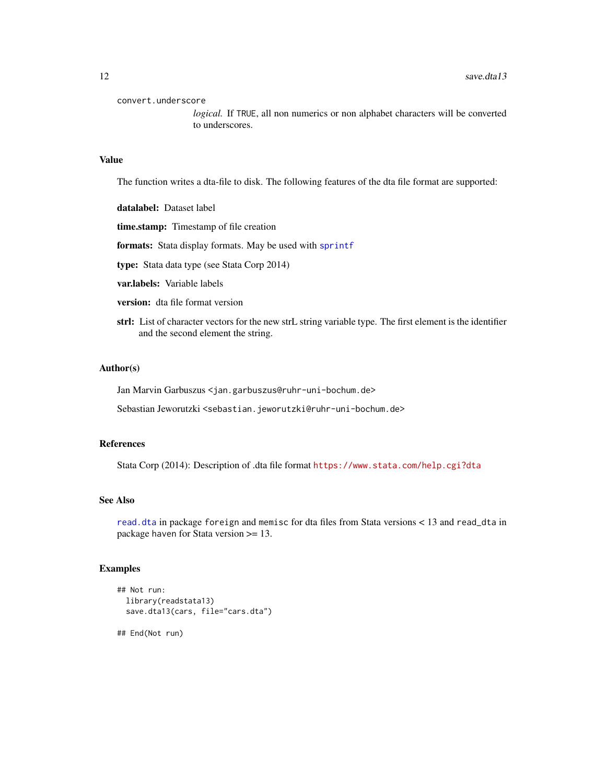convert.underscore

*logical.* If TRUE, all non numerics or non alphabet characters will be converted to underscores.

#### Value

The function writes a dta-file to disk. The following features of the dta file format are supported:

datalabel: Dataset label

time.stamp: Timestamp of file creation

formats: Stata display formats. May be used with [sprintf](#page-0-0)

type: Stata data type (see Stata Corp 2014)

var.labels: Variable labels

version: dta file format version

strl: List of character vectors for the new strL string variable type. The first element is the identifier and the second element the string.

#### Author(s)

Jan Marvin Garbuszus <jan.garbuszus@ruhr-uni-bochum.de>

Sebastian Jeworutzki <sebastian.jeworutzki@ruhr-uni-bochum.de>

#### References

Stata Corp (2014): Description of .dta file format <https://www.stata.com/help.cgi?dta>

# See Also

[read.dta](#page-0-0) in package foreign and memisc for dta files from Stata versions < 13 and read\_dta in package haven for Stata version >= 13.

```
## Not run:
 library(readstata13)
 save.dta13(cars, file="cars.dta")
## End(Not run)
```
<span id="page-11-0"></span>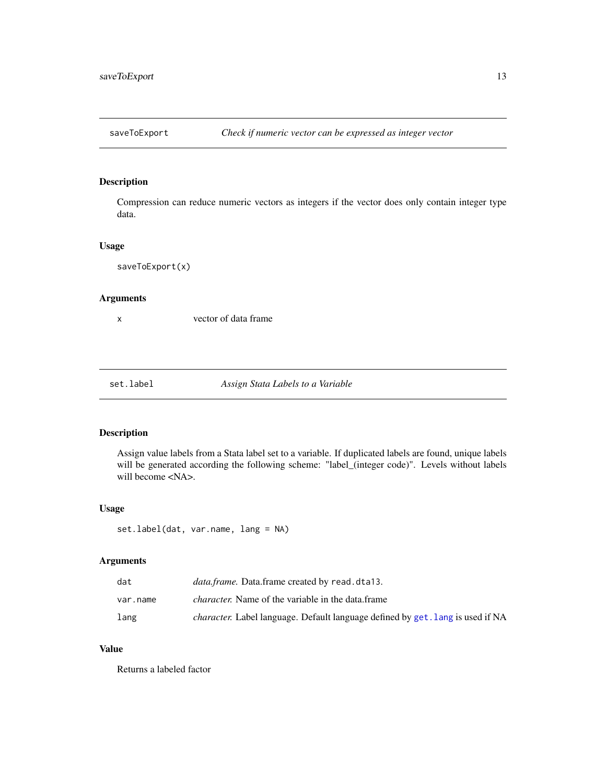<span id="page-12-0"></span>

Compression can reduce numeric vectors as integers if the vector does only contain integer type data.

#### Usage

saveToExport(x)

# Arguments

x vector of data frame

set.label *Assign Stata Labels to a Variable*

#### Description

Assign value labels from a Stata label set to a variable. If duplicated labels are found, unique labels will be generated according the following scheme: "label\_(integer code)". Levels without labels will become <NA>.

#### Usage

set.label(dat, var.name, lang = NA)

#### Arguments

| dat      | <i>data.frame.</i> Data.frame created by read.dta13.                                  |
|----------|---------------------------------------------------------------------------------------|
| var.name | <i>character.</i> Name of the variable in the data.frame                              |
| lang     | <i>character.</i> Label language. Default language defined by get. lang is used if NA |

#### Value

Returns a labeled factor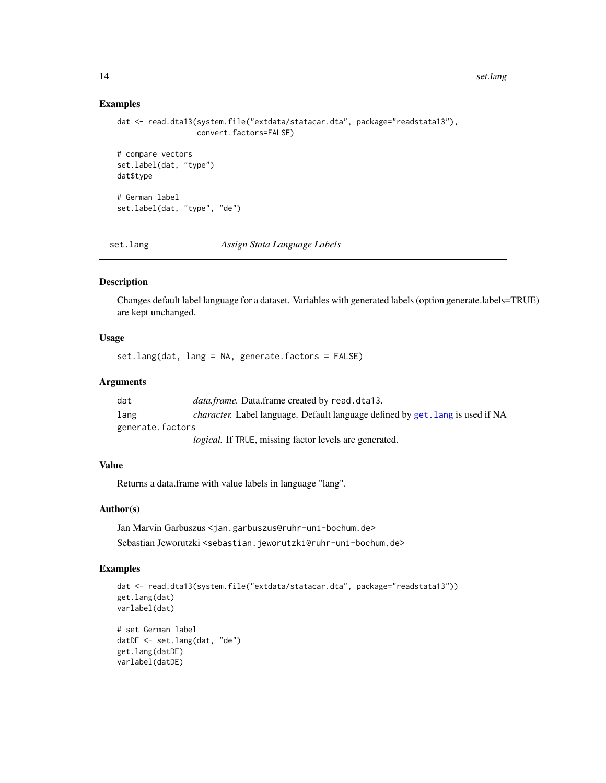#### 14 set.lang

#### Examples

```
dat <- read.dta13(system.file("extdata/statacar.dta", package="readstata13"),
                  convert.factors=FALSE)
# compare vectors
set.label(dat, "type")
dat$type
# German label
set.label(dat, "type", "de")
```
set.lang *Assign Stata Language Labels*

# Description

Changes default label language for a dataset. Variables with generated labels (option generate.labels=TRUE) are kept unchanged.

# Usage

set.lang(dat, lang = NA, generate.factors = FALSE)

# Arguments

| dat              | <i>data.frame.</i> Data.frame created by read.dta13.                                  |
|------------------|---------------------------------------------------------------------------------------|
| lang             | <i>character.</i> Label language. Default language defined by get. lang is used if NA |
| generate.factors |                                                                                       |
|                  | <i>logical.</i> If TRUE, missing factor levels are generated.                         |

# Value

Returns a data.frame with value labels in language "lang".

# Author(s)

Jan Marvin Garbuszus <jan.garbuszus@ruhr-uni-bochum.de> Sebastian Jeworutzki <sebastian.jeworutzki@ruhr-uni-bochum.de>

```
dat <- read.dta13(system.file("extdata/statacar.dta", package="readstata13"))
get.lang(dat)
varlabel(dat)
# set German label
datDE <- set.lang(dat, "de")
get.lang(datDE)
varlabel(datDE)
```
<span id="page-13-0"></span>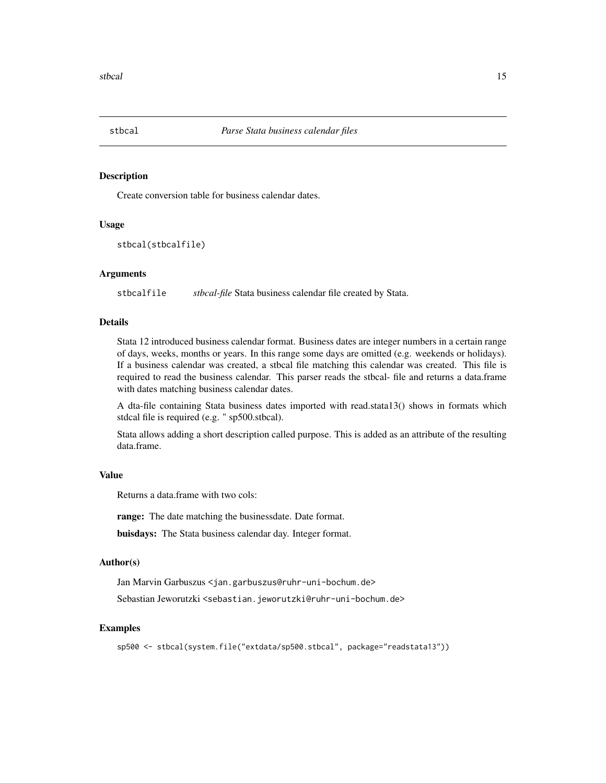<span id="page-14-0"></span>

Create conversion table for business calendar dates.

#### Usage

```
stbcal(stbcalfile)
```
#### Arguments

stbcalfile *stbcal-file* Stata business calendar file created by Stata.

# Details

Stata 12 introduced business calendar format. Business dates are integer numbers in a certain range of days, weeks, months or years. In this range some days are omitted (e.g. weekends or holidays). If a business calendar was created, a stbcal file matching this calendar was created. This file is required to read the business calendar. This parser reads the stbcal- file and returns a data.frame with dates matching business calendar dates.

A dta-file containing Stata business dates imported with read.stata13() shows in formats which stdcal file is required (e.g. " sp500.stbcal).

Stata allows adding a short description called purpose. This is added as an attribute of the resulting data.frame.

#### Value

Returns a data.frame with two cols:

range: The date matching the businessdate. Date format.

buisdays: The Stata business calendar day. Integer format.

#### Author(s)

Jan Marvin Garbuszus <jan.garbuszus@ruhr-uni-bochum.de>

Sebastian Jeworutzki <sebastian.jeworutzki@ruhr-uni-bochum.de>

```
sp500 <- stbcal(system.file("extdata/sp500.stbcal", package="readstata13"))
```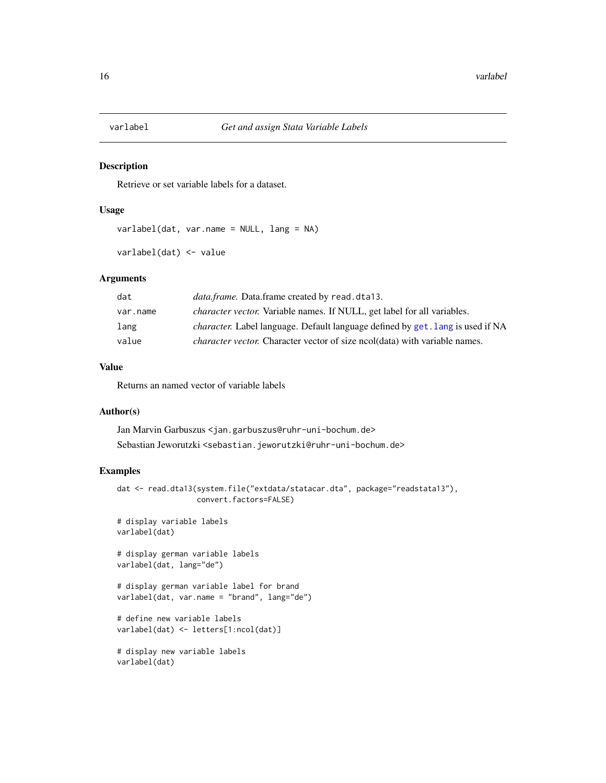<span id="page-15-0"></span>

Retrieve or set variable labels for a dataset.

#### Usage

varlabel(dat, var.name = NULL, lang = NA)

varlabel(dat) <- value

# Arguments

| dat      | <i>data.frame.</i> Data.frame created by read.dta13.                                  |
|----------|---------------------------------------------------------------------------------------|
| var.name | <i>character vector.</i> Variable names. If NULL, get label for all variables.        |
| lang     | <i>character.</i> Label language. Default language defined by get. lang is used if NA |
| value    | <i>character vector.</i> Character vector of size ncol(data) with variable names.     |

# Value

Returns an named vector of variable labels

#### Author(s)

Jan Marvin Garbuszus <jan.garbuszus@ruhr-uni-bochum.de> Sebastian Jeworutzki <sebastian.jeworutzki@ruhr-uni-bochum.de>

```
dat <- read.dta13(system.file("extdata/statacar.dta", package="readstata13"),
                 convert.factors=FALSE)
# display variable labels
varlabel(dat)
# display german variable labels
varlabel(dat, lang="de")
# display german variable label for brand
varlabel(dat, var.name = "brand", lang="de")
# define new variable labels
varlabel(dat) <- letters[1:ncol(dat)]
# display new variable labels
varlabel(dat)
```